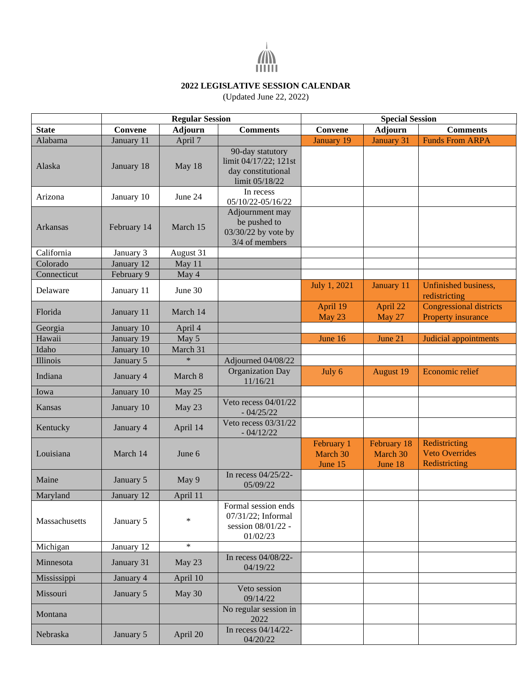

## **2022 LEGISLATIVE SESSION CALENDAR**

(Updated June 22, 2022)

|                 | <b>Regular Session</b> |                |                                                                                   | <b>Special Session</b>            |                                    |                                                         |  |
|-----------------|------------------------|----------------|-----------------------------------------------------------------------------------|-----------------------------------|------------------------------------|---------------------------------------------------------|--|
| <b>State</b>    | Convene                | <b>Adjourn</b> | <b>Comments</b>                                                                   | Convene                           | <b>Adjourn</b>                     | <b>Comments</b>                                         |  |
| Alabama         | January 11             | April 7        |                                                                                   | January 19                        | <b>January 31</b>                  | <b>Funds From ARPA</b>                                  |  |
| Alaska          | January 18             | May 18         | 90-day statutory<br>limit 04/17/22; 121st<br>day constitutional<br>limit 05/18/22 |                                   |                                    |                                                         |  |
| Arizona         | January 10             | June 24        | In recess<br>05/10/22-05/16/22                                                    |                                   |                                    |                                                         |  |
| <b>Arkansas</b> | February 14            | March 15       | Adjournment may<br>be pushed to<br>03/30/22 by vote by<br>3/4 of members          |                                   |                                    |                                                         |  |
| California      | January 3              | August 31      |                                                                                   |                                   |                                    |                                                         |  |
| Colorado        | January 12             | May 11         |                                                                                   |                                   |                                    |                                                         |  |
| Connecticut     | February 9             | May 4          |                                                                                   |                                   |                                    |                                                         |  |
| Delaware        | January 11             | June 30        |                                                                                   | July 1, 2021                      | January 11                         | Unfinished business,<br>redistricting                   |  |
| Florida         | January 11             | March 14       |                                                                                   | April 19<br>May 23                | April 22<br>May 27                 | <b>Congressional districts</b><br>Property insurance    |  |
| Georgia         | January 10             | April 4        |                                                                                   |                                   |                                    |                                                         |  |
| Hawaii          | January 19             | May 5          |                                                                                   | June 16                           | June 21                            | Judicial appointments                                   |  |
| Idaho           | January 10             | March 31       |                                                                                   |                                   |                                    |                                                         |  |
| Illinois        | January 5              | $\ast$         | Adjourned 04/08/22                                                                |                                   |                                    |                                                         |  |
| Indiana         | January 4              | March 8        | <b>Organization Day</b><br>11/16/21                                               | July 6                            | <b>August 19</b>                   | Economic relief                                         |  |
| Iowa            | January 10             | May 25         |                                                                                   |                                   |                                    |                                                         |  |
| Kansas          | January 10             | May 23         | Veto recess 04/01/22<br>$-04/25/22$                                               |                                   |                                    |                                                         |  |
| Kentucky        | January 4              | April 14       | Veto recess 03/31/22<br>$-04/12/22$                                               |                                   |                                    |                                                         |  |
| Louisiana       | March 14               | June 6         |                                                                                   | February 1<br>March 30<br>June 15 | February 18<br>March 30<br>June 18 | Redistricting<br><b>Veto Overrides</b><br>Redistricting |  |
| Maine           | January 5              | May 9          | In recess 04/25/22-<br>05/09/22                                                   |                                   |                                    |                                                         |  |
| Maryland        | January 12             | April 11       |                                                                                   |                                   |                                    |                                                         |  |
| Massachusetts   | January 5              | $\ast$         | Formal session ends<br>07/31/22; Informal<br>session 08/01/22 -<br>01/02/23       |                                   |                                    |                                                         |  |
| Michigan        | January 12             | $\ast$         |                                                                                   |                                   |                                    |                                                         |  |
| Minnesota       | January 31             | May 23         | In recess 04/08/22-<br>04/19/22                                                   |                                   |                                    |                                                         |  |
| Mississippi     | January 4              | April 10       |                                                                                   |                                   |                                    |                                                         |  |
| Missouri        | January 5              | May 30         | Veto session<br>09/14/22                                                          |                                   |                                    |                                                         |  |
| Montana         |                        |                | No regular session in<br>2022                                                     |                                   |                                    |                                                         |  |
| Nebraska        | January 5              | April 20       | In recess 04/14/22-<br>04/20/22                                                   |                                   |                                    |                                                         |  |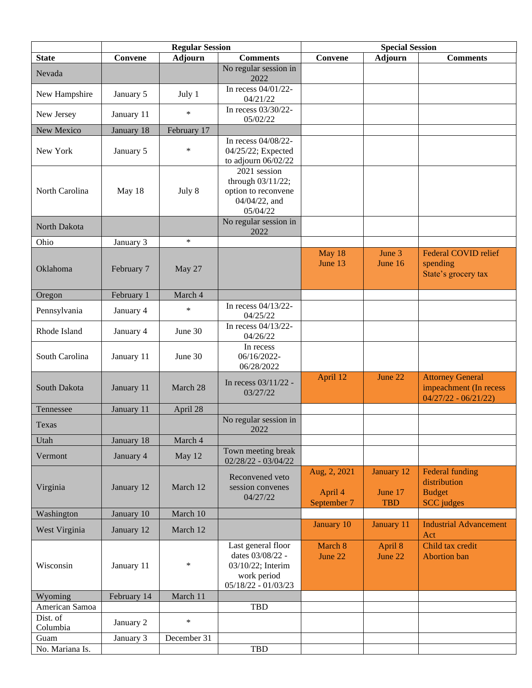|                  | <b>Regular Session</b> |                |                                                                                                     | <b>Special Session</b>                 |                                     |                                                                              |  |
|------------------|------------------------|----------------|-----------------------------------------------------------------------------------------------------|----------------------------------------|-------------------------------------|------------------------------------------------------------------------------|--|
| <b>State</b>     | Convene                | <b>Adjourn</b> | <b>Comments</b>                                                                                     | <b>Convene</b>                         | <b>Adjourn</b>                      | <b>Comments</b>                                                              |  |
| Nevada           |                        |                | No regular session in<br>2022                                                                       |                                        |                                     |                                                                              |  |
| New Hampshire    | January 5              | July 1         | In recess 04/01/22-<br>04/21/22                                                                     |                                        |                                     |                                                                              |  |
| New Jersey       | January 11             | $\ast$         | In recess 03/30/22-<br>05/02/22                                                                     |                                        |                                     |                                                                              |  |
| New Mexico       | January 18             | February 17    |                                                                                                     |                                        |                                     |                                                                              |  |
| New York         | January 5              | $\ast$         | In recess 04/08/22-<br>04/25/22; Expected<br>to adjourn 06/02/22                                    |                                        |                                     |                                                                              |  |
| North Carolina   | May 18                 | July 8         | 2021 session<br>through 03/11/22;<br>option to reconvene<br>04/04/22, and<br>05/04/22               |                                        |                                     |                                                                              |  |
| North Dakota     |                        |                | No regular session in<br>2022                                                                       |                                        |                                     |                                                                              |  |
| Ohio             | January 3              | $\ast$         |                                                                                                     |                                        |                                     |                                                                              |  |
| Oklahoma         | February 7             | May 27         |                                                                                                     | May 18<br>June 13                      | June 3<br>June 16                   | <b>Federal COVID relief</b><br>spending<br>State's grocery tax               |  |
| Oregon           | February 1             | March 4        |                                                                                                     |                                        |                                     |                                                                              |  |
| Pennsylvania     | January 4              | $\ast$         | In recess 04/13/22-<br>04/25/22                                                                     |                                        |                                     |                                                                              |  |
| Rhode Island     | January 4              | June 30        | In recess 04/13/22-<br>04/26/22                                                                     |                                        |                                     |                                                                              |  |
| South Carolina   | January 11             | June 30        | In recess<br>06/16/2022-<br>06/28/2022                                                              |                                        |                                     |                                                                              |  |
| South Dakota     | January 11             | March 28       | In recess 03/11/22 -<br>03/27/22                                                                    | April 12                               | June 22                             | <b>Attorney General</b><br>impeachment (In recess<br>$04/27/22 - 06/21/22$   |  |
| Tennessee        | January 11             | April 28       |                                                                                                     |                                        |                                     |                                                                              |  |
| Texas            |                        |                | No regular session in<br>2022                                                                       |                                        |                                     |                                                                              |  |
| Utah             | January 18             | March 4        |                                                                                                     |                                        |                                     |                                                                              |  |
| Vermont          | January 4              | May 12         | Town meeting break<br>$02/28/22 - 03/04/22$                                                         |                                        |                                     |                                                                              |  |
| Virginia         | January 12             | March 12       | Reconvened veto<br>session convenes<br>04/27/22                                                     | Aug, 2, 2021<br>April 4<br>September 7 | January 12<br>June 17<br><b>TBD</b> | <b>Federal funding</b><br>distribution<br><b>Budget</b><br><b>SCC</b> judges |  |
| Washington       | January 10             | March 10       |                                                                                                     |                                        |                                     |                                                                              |  |
| West Virginia    | January 12             | March 12       |                                                                                                     | January 10                             | January 11                          | <b>Industrial Advancement</b><br>Act                                         |  |
| Wisconsin        | January 11             | $\ast$         | Last general floor<br>dates 03/08/22 -<br>03/10/22; Interim<br>work period<br>$05/18/22 - 01/03/23$ | March 8<br>June 22                     | April 8<br>June 22                  | Child tax credit<br><b>Abortion</b> ban                                      |  |
| Wyoming          | February 14            | March 11       |                                                                                                     |                                        |                                     |                                                                              |  |
| American Samoa   |                        |                | <b>TBD</b>                                                                                          |                                        |                                     |                                                                              |  |
| Dist. of         | January 2              | $\ast$         |                                                                                                     |                                        |                                     |                                                                              |  |
| Columbia<br>Guam | January 3              | December 31    |                                                                                                     |                                        |                                     |                                                                              |  |
| No. Mariana Is.  |                        |                | TBD                                                                                                 |                                        |                                     |                                                                              |  |